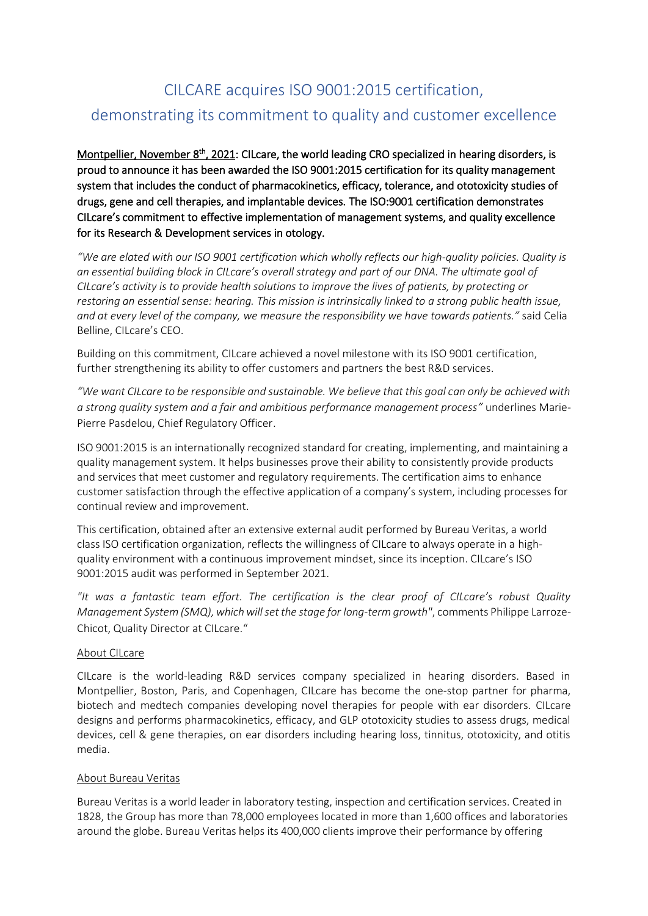## CILCARE acquires ISO 9001:2015 certification, demonstrating its commitment to quality and customer excellence

Montpellier, November 8<sup>th</sup>, 2021: CILcare, the world leading CRO specialized in hearing disorders, is proud to announce it has been awarded the ISO 9001:2015 certification for its quality management system that includes the conduct of pharmacokinetics, efficacy, tolerance, and ototoxicity studies of drugs, gene and cell therapies, and implantable devices. The ISO:9001 certification demonstrates CILcare's commitment to effective implementation of management systems, and quality excellence for its Research & Development services in otology.

*"We are elated with our ISO 9001 certification which wholly reflects our high-quality policies. Quality is an essential building block in CILcare's overall strategy and part of our DNA. The ultimate goal of CILcare's activity is to provide health solutions to improve the lives of patients, by protecting or restoring an essential sense: hearing. This mission is intrinsically linked to a strong public health issue, and at every level of the company, we measure the responsibility we have towards patients."* said Celia Belline, CILcare's CEO.

Building on this commitment, CILcare achieved a novel milestone with its ISO 9001 certification, further strengthening its ability to offer customers and partners the best R&D services.

*"We want CILcare to be responsible and sustainable. We believe that this goal can only be achieved with a strong quality system and a fair and ambitious performance management process"* underlines Marie-Pierre Pasdelou, Chief Regulatory Officer.

ISO 9001:2015 is an internationally recognized standard for creating, implementing, and maintaining a quality management system. It helps businesses prove their ability to consistently provide products and services that meet customer and regulatory requirements. The certification aims to enhance customer satisfaction through the effective application of a company's system, including processes for continual review and improvement.

This certification, obtained after an extensive external audit performed by Bureau Veritas, a world class ISO certification organization, reflects the willingness of CILcare to always operate in a highquality environment with a continuous improvement mindset, since its inception. CILcare's ISO 9001:2015 audit was performed in September 2021.

*"It was a fantastic team effort. The certification is the clear proof of CILcare's robust Quality Management System (SMQ), which will set the stage for long-term growth"*, comments Philippe Larroze-Chicot, Quality Director at CILcare."

## About CILcare

CILcare is the world-leading R&D services company specialized in hearing disorders. Based in Montpellier, Boston, Paris, and Copenhagen, CILcare has become the one-stop partner for pharma, biotech and medtech companies developing novel therapies for people with ear disorders. CILcare designs and performs pharmacokinetics, efficacy, and GLP ototoxicity studies to assess drugs, medical devices, cell & gene therapies, on ear disorders including hearing loss, tinnitus, ototoxicity, and otitis media.

## About Bureau Veritas

Bureau Veritas is a world leader in laboratory testing, inspection and certification services. Created in 1828, the Group has more than 78,000 employees located in more than 1,600 offices and laboratories around the globe. Bureau Veritas helps its 400,000 clients improve their performance by offering